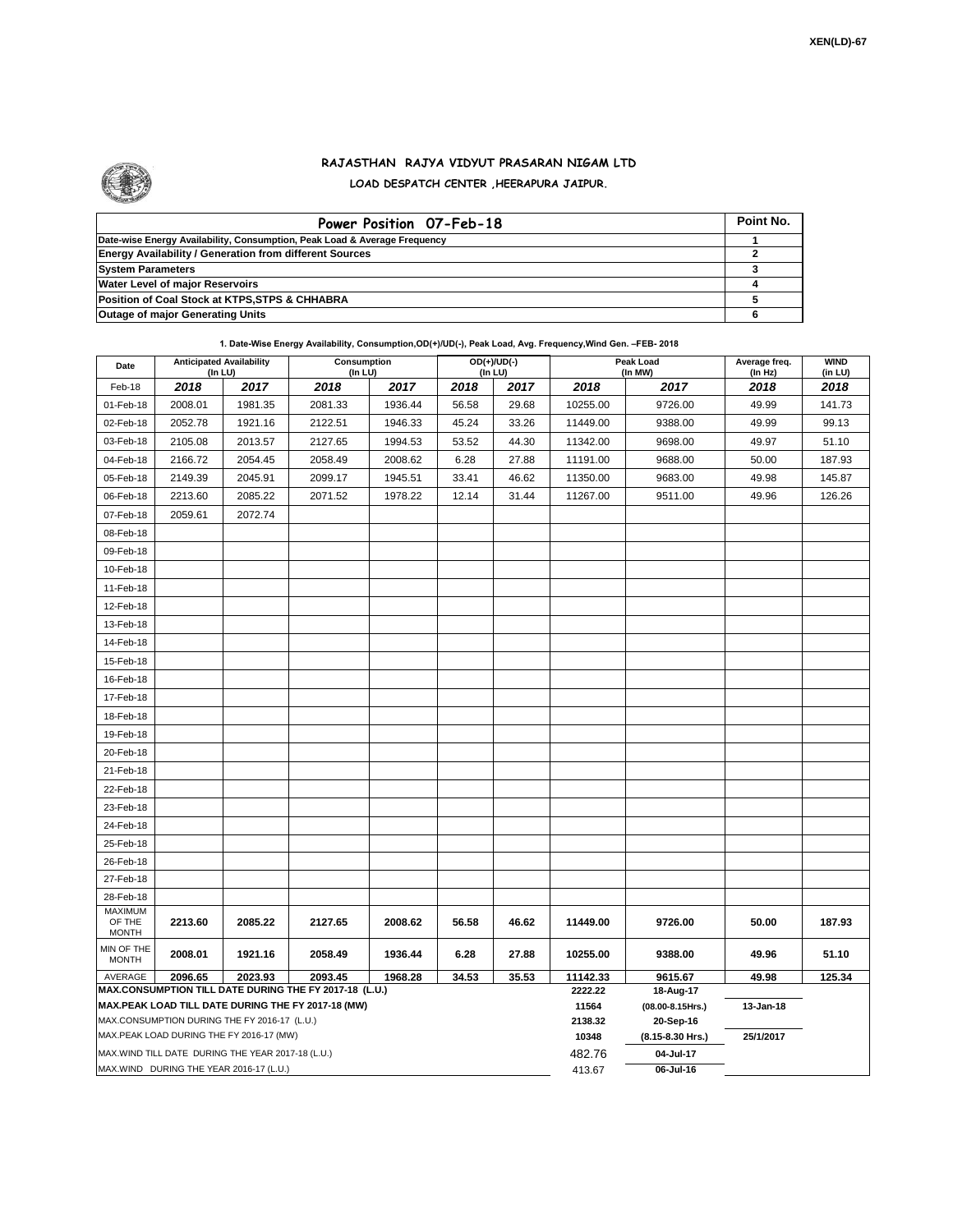## **RAJASTHAN RAJYA VIDYUT PRASARAN NIGAM LTD LOAD DESPATCH CENTER ,HEERAPURA JAIPUR.**

| Power Position 07-Feb-18                                                  | Point No. |
|---------------------------------------------------------------------------|-----------|
| Date-wise Energy Availability, Consumption, Peak Load & Average Frequency |           |
| <b>Energy Availability / Generation from different Sources</b>            |           |
| <b>System Parameters</b>                                                  |           |
| <b>Water Level of major Reservoirs</b>                                    |           |
| Position of Coal Stock at KTPS, STPS & CHHABRA                            |           |
| <b>Outage of major Generating Units</b>                                   |           |

| Date                                                                                                         | <b>Anticipated Availability</b><br>$($ In LU $)$ |         | Consumption<br>(In LU) |         | $OD(+)/UD(-)$<br>(In LU) |         |                               | Peak Load<br>(In MW) | Average freq.<br>(In Hz) | <b>WIND</b><br>(in LU) |  |  |
|--------------------------------------------------------------------------------------------------------------|--------------------------------------------------|---------|------------------------|---------|--------------------------|---------|-------------------------------|----------------------|--------------------------|------------------------|--|--|
| Feb-18                                                                                                       | 2018                                             | 2017    | 2018                   | 2017    | 2018                     | 2017    | 2018                          | 2017                 | 2018                     | 2018                   |  |  |
| 01-Feb-18                                                                                                    | 2008.01                                          | 1981.35 | 2081.33                | 1936.44 | 56.58                    | 29.68   | 10255.00                      | 9726.00              | 49.99                    | 141.73                 |  |  |
| 02-Feb-18                                                                                                    | 2052.78                                          | 1921.16 | 2122.51                | 1946.33 | 45.24                    | 33.26   | 11449.00                      | 9388.00              | 49.99                    | 99.13                  |  |  |
| 03-Feb-18                                                                                                    | 2105.08                                          | 2013.57 | 2127.65                | 1994.53 | 53.52                    | 44.30   | 11342.00                      | 9698.00              | 49.97                    | 51.10                  |  |  |
| 04-Feb-18                                                                                                    | 2166.72                                          | 2054.45 | 2058.49                | 2008.62 | 6.28                     | 27.88   | 11191.00                      | 9688.00              | 50.00                    | 187.93                 |  |  |
| 05-Feb-18                                                                                                    | 2149.39                                          | 2045.91 | 2099.17                | 1945.51 | 33.41                    | 46.62   | 11350.00                      | 9683.00              | 49.98                    | 145.87                 |  |  |
| 06-Feb-18                                                                                                    | 2213.60                                          | 2085.22 | 2071.52                | 1978.22 | 12.14                    | 31.44   | 11267.00                      | 9511.00              | 49.96                    | 126.26                 |  |  |
| 07-Feb-18                                                                                                    | 2059.61                                          | 2072.74 |                        |         |                          |         |                               |                      |                          |                        |  |  |
| 08-Feb-18                                                                                                    |                                                  |         |                        |         |                          |         |                               |                      |                          |                        |  |  |
| 09-Feb-18                                                                                                    |                                                  |         |                        |         |                          |         |                               |                      |                          |                        |  |  |
| 10-Feb-18                                                                                                    |                                                  |         |                        |         |                          |         |                               |                      |                          |                        |  |  |
| 11-Feb-18                                                                                                    |                                                  |         |                        |         |                          |         |                               |                      |                          |                        |  |  |
| 12-Feb-18                                                                                                    |                                                  |         |                        |         |                          |         |                               |                      |                          |                        |  |  |
| 13-Feb-18                                                                                                    |                                                  |         |                        |         |                          |         |                               |                      |                          |                        |  |  |
| 14-Feb-18                                                                                                    |                                                  |         |                        |         |                          |         |                               |                      |                          |                        |  |  |
| 15-Feb-18                                                                                                    |                                                  |         |                        |         |                          |         |                               |                      |                          |                        |  |  |
| 16-Feb-18                                                                                                    |                                                  |         |                        |         |                          |         |                               |                      |                          |                        |  |  |
| 17-Feb-18                                                                                                    |                                                  |         |                        |         |                          |         |                               |                      |                          |                        |  |  |
| 18-Feb-18                                                                                                    |                                                  |         |                        |         |                          |         |                               |                      |                          |                        |  |  |
| 19-Feb-18                                                                                                    |                                                  |         |                        |         |                          |         |                               |                      |                          |                        |  |  |
| 20-Feb-18                                                                                                    |                                                  |         |                        |         |                          |         |                               |                      |                          |                        |  |  |
| 21-Feb-18                                                                                                    |                                                  |         |                        |         |                          |         |                               |                      |                          |                        |  |  |
| 22-Feb-18                                                                                                    |                                                  |         |                        |         |                          |         |                               |                      |                          |                        |  |  |
| 23-Feb-18                                                                                                    |                                                  |         |                        |         |                          |         |                               |                      |                          |                        |  |  |
| 24-Feb-18                                                                                                    |                                                  |         |                        |         |                          |         |                               |                      |                          |                        |  |  |
| 25-Feb-18                                                                                                    |                                                  |         |                        |         |                          |         |                               |                      |                          |                        |  |  |
| 26-Feb-18                                                                                                    |                                                  |         |                        |         |                          |         |                               |                      |                          |                        |  |  |
| 27-Feb-18                                                                                                    |                                                  |         |                        |         |                          |         |                               |                      |                          |                        |  |  |
| 28-Feb-18                                                                                                    |                                                  |         |                        |         |                          |         |                               |                      |                          |                        |  |  |
| MAXIMUM<br>OF THE                                                                                            | 2213.60                                          | 2085.22 | 2127.65                | 2008.62 | 56.58                    | 46.62   | 11449.00                      | 9726.00              | 50.00                    | 187.93                 |  |  |
| <b>MONTH</b>                                                                                                 |                                                  |         |                        |         |                          |         |                               |                      |                          |                        |  |  |
| MIN OF THE<br><b>MONTH</b>                                                                                   | 2008.01                                          | 1921.16 | 2058.49                | 1936.44 | 6.28                     | 27.88   | 10255.00                      | 9388.00              | 49.96                    | 51.10                  |  |  |
| AVERAGE                                                                                                      | 2096.65                                          | 2023.93 | 2093.45                | 1968.28 | 34.53                    | 35.53   | 11142.33                      | 9615.67              | 49.98                    | 125.34                 |  |  |
| MAX.CONSUMPTION TILL DATE DURING THE FY 2017-18 (L.U.)<br>MAX.PEAK LOAD TILL DATE DURING THE FY 2017-18 (MW) |                                                  |         |                        |         |                          |         | 2222.22<br>11564              | 18-Aug-17            | 13-Jan-18                |                        |  |  |
| MAX.CONSUMPTION DURING THE FY 2016-17 (L.U.)                                                                 |                                                  |         |                        |         |                          | 2138.32 | (08.00-8.15Hrs.)<br>20-Sep-16 |                      |                          |                        |  |  |
| MAX.PEAK LOAD DURING THE FY 2016-17 (MW)                                                                     |                                                  |         |                        |         |                          |         | 10348                         | (8.15-8.30 Hrs.)     | 25/1/2017                |                        |  |  |
| MAX. WIND TILL DATE DURING THE YEAR 2017-18 (L.U.)                                                           |                                                  |         |                        |         |                          |         | 482.76                        | 04-Jul-17            |                          |                        |  |  |
| MAX.WIND DURING THE YEAR 2016-17 (L.U.)                                                                      |                                                  |         |                        |         |                          |         | 413.67                        | 06-Jul-16            |                          |                        |  |  |

**1. Date-Wise Energy Availability, Consumption,OD(+)/UD(-), Peak Load, Avg. Frequency,Wind Gen. –FEB- 2018**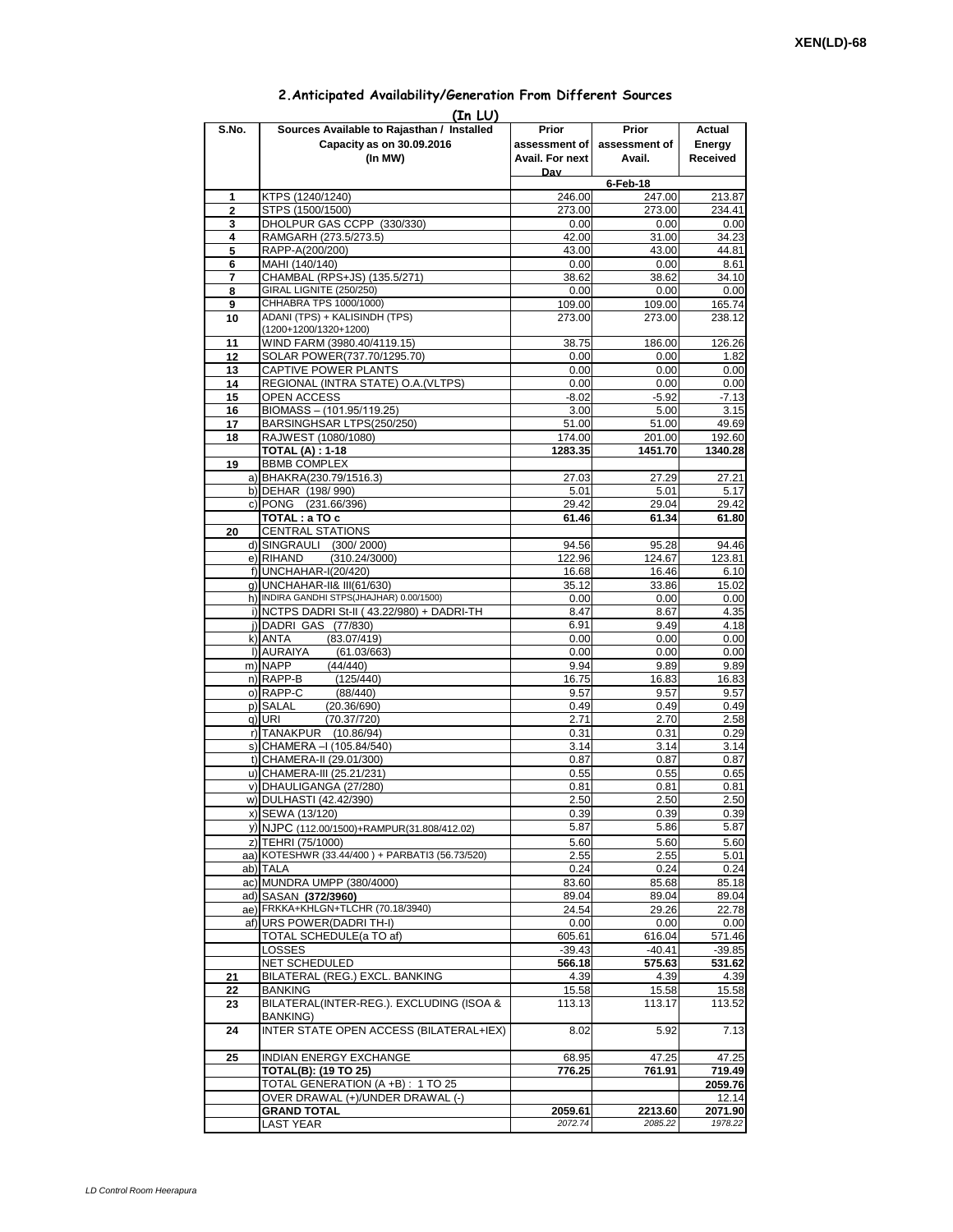| (In LU)        |                                                                                    |                          |                                                |                              |  |  |  |  |  |  |
|----------------|------------------------------------------------------------------------------------|--------------------------|------------------------------------------------|------------------------------|--|--|--|--|--|--|
| S.No.          | Sources Available to Rajasthan / Installed<br>Capacity as on 30.09.2016<br>(In MW) | Prior<br>Avail. For next | Prior<br>assessment of assessment of<br>Avail. | Actual<br>Energy<br>Received |  |  |  |  |  |  |
|                |                                                                                    | Dav                      |                                                |                              |  |  |  |  |  |  |
| 1              | KTPS (1240/1240)                                                                   | 246.00                   | 6-Feb-18<br>247.00                             | 213.87                       |  |  |  |  |  |  |
| $\overline{2}$ | STPS (1500/1500)                                                                   | 273.00                   | 273.00                                         | 234.41                       |  |  |  |  |  |  |
| 3              | DHOLPUR GAS CCPP (330/330)                                                         | 0.00                     | 0.00                                           | 0.00                         |  |  |  |  |  |  |
| 4              | RAMGARH (273.5/273.5)                                                              | 42.00                    | 31.00                                          | 34.23                        |  |  |  |  |  |  |
| 5              | RAPP-A(200/200)                                                                    | 43.00                    | 43.00                                          | 44.81                        |  |  |  |  |  |  |
| 6<br>7         | MAHI (140/140)<br>CHAMBAL (RPS+JS) (135.5/271)                                     | 0.00<br>38.62            | 0.00<br>38.62                                  | 8.61<br>34.10                |  |  |  |  |  |  |
| 8              | GIRAL LIGNITE (250/250)                                                            | 0.00                     | 0.00                                           | 0.00                         |  |  |  |  |  |  |
| 9              | CHHABRA TPS 1000/1000)                                                             | 109.00                   | 109.00                                         | 165.74                       |  |  |  |  |  |  |
| 10             | ADANI (TPS) + KALISINDH (TPS)                                                      | 273.00                   | 273.00                                         | 238.12                       |  |  |  |  |  |  |
| 11             | (1200+1200/1320+1200)<br>WIND FARM (3980.40/4119.15)                               | 38.75                    | 186.00                                         | 126.26                       |  |  |  |  |  |  |
| 12             | SOLAR POWER(737.70/1295.70)                                                        | 0.00                     | 0.00                                           | 1.82                         |  |  |  |  |  |  |
| 13             | CAPTIVE POWER PLANTS                                                               | 0.00                     | 0.00                                           | 0.00                         |  |  |  |  |  |  |
| 14             | REGIONAL (INTRA STATE) O.A. (VLTPS)                                                | 0.00                     | 0.00                                           | 0.00                         |  |  |  |  |  |  |
| 15             | OPEN ACCESS                                                                        | $-8.02$                  | $-5.92$                                        | $-7.13$                      |  |  |  |  |  |  |
| 16             | BIOMASS - (101.95/119.25)                                                          | 3.00                     | 5.00                                           | 3.15                         |  |  |  |  |  |  |
| 17<br>18       | BARSINGHSAR LTPS(250/250)<br>RAJWEST (1080/1080)                                   | 51.00<br>174.00          | 51.00<br>201.00                                | 49.69<br>192.60              |  |  |  |  |  |  |
|                | <b>TOTAL (A): 1-18</b>                                                             | 1283.35                  | 1451.70                                        | 1340.28                      |  |  |  |  |  |  |
| 19             | <b>BBMB COMPLEX</b>                                                                |                          |                                                |                              |  |  |  |  |  |  |
|                | a) BHAKRA(230.79/1516.3)                                                           | 27.03                    | 27.29                                          | 27.21                        |  |  |  |  |  |  |
|                | b) DEHAR (198/990)<br>c) PONG (231.66/396)                                         | 5.01<br>29.42            | 5.01<br>29.04                                  | 5.17<br>29.42                |  |  |  |  |  |  |
|                | TOTAL: a TO c                                                                      | 61.46                    | 61.34                                          | 61.80                        |  |  |  |  |  |  |
| 20             | <b>CENTRAL STATIONS</b>                                                            |                          |                                                |                              |  |  |  |  |  |  |
|                | d) SINGRAULI (300/2000)                                                            | 94.56                    | 95.28                                          | 94.46                        |  |  |  |  |  |  |
|                | e) RIHAND<br>(310.24/3000)                                                         | 122.96                   | 124.67                                         | 123.81                       |  |  |  |  |  |  |
|                | f) UNCHAHAR-I(20/420)                                                              | 16.68                    | 16.46                                          | 6.10                         |  |  |  |  |  |  |
|                | q) UNCHAHAR-II& III(61/630)<br>h) INDIRA GANDHI STPS(JHAJHAR) 0.00/1500)           | 35.12<br>0.00            | 33.86<br>0.00                                  | 15.02<br>0.00                |  |  |  |  |  |  |
|                | i) NCTPS DADRI St-II (43.22/980) + DADRI-TH                                        | 8.47                     | 8.67                                           | 4.35                         |  |  |  |  |  |  |
|                | j) DADRI GAS (77/830)                                                              | 6.91                     | 9.49                                           | 4.18                         |  |  |  |  |  |  |
|                | k) ANTA<br>(83.07/419)                                                             | 0.00                     | 0.00                                           | 0.00                         |  |  |  |  |  |  |
|                | I) AURAIYA<br>(61.03/663)                                                          | 0.00                     | 0.00                                           | 0.00                         |  |  |  |  |  |  |
|                | m) NAPP<br>(44/440)<br>n) RAPP-B<br>(125/440)                                      | 9.94<br>16.75            | 9.89<br>16.83                                  | 9.89<br>16.83                |  |  |  |  |  |  |
|                | o) RAPP-C<br>(88/440)                                                              | 9.57                     | 9.57                                           | 9.57                         |  |  |  |  |  |  |
|                | p) SALAL<br>(20.36/690)                                                            | 0.49                     | 0.49                                           | 0.49                         |  |  |  |  |  |  |
|                | (70.37/720)<br>q) URI                                                              | 2.71                     | 2.70                                           | 2.58                         |  |  |  |  |  |  |
|                | r) TANAKPUR<br>(10.86/94)                                                          | 0.31                     | 0.31                                           | 0.29                         |  |  |  |  |  |  |
|                | s) CHAMERA - (105.84/540)<br>t) CHAMERA-II (29.01/300)                             | 3.14<br>0.87             | 3.14<br>0.87                                   | 3.14<br>0.87                 |  |  |  |  |  |  |
|                | u) CHAMERA-III (25.21/231)                                                         | 0.55                     | 0.55                                           | 0.65                         |  |  |  |  |  |  |
|                | v) DHAULIGANGA (27/280)                                                            | 0.81                     | 0.81                                           | 0.81                         |  |  |  |  |  |  |
|                | w) DULHASTI (42.42/390)                                                            | 2.50                     | 2.50                                           | 2.50                         |  |  |  |  |  |  |
|                | x) SEWA (13/120)                                                                   | 0.39                     | 0.39                                           | 0.39                         |  |  |  |  |  |  |
|                | y) NJPC (112.00/1500)+RAMPUR(31.808/412.02)                                        | 5.87                     | 5.86                                           | 5.87                         |  |  |  |  |  |  |
|                | z) TEHRI (75/1000)<br>aa) KOTESHWR (33.44/400) + PARBATI3 (56.73/520)              | 5.60<br>2.55             | 5.60<br>2.55                                   | 5.60<br>5.01                 |  |  |  |  |  |  |
|                | ab) TALA                                                                           | 0.24                     | 0.24                                           | 0.24                         |  |  |  |  |  |  |
|                | ac) MUNDRA UMPP (380/4000)                                                         | 83.60                    | 85.68                                          | 85.18                        |  |  |  |  |  |  |
|                | ad) SASAN (372/3960)                                                               | 89.04                    | 89.04                                          | 89.04                        |  |  |  |  |  |  |
|                | ae) FRKKA+KHLGN+TLCHR (70.18/3940)                                                 | 24.54                    | 29.26                                          | 22.78                        |  |  |  |  |  |  |
|                | af) URS POWER(DADRI TH-I)<br>TOTAL SCHEDULE(a TO af)                               | 0.00<br>605.61           | 0.00<br>616.04                                 | 0.00<br>571.46               |  |  |  |  |  |  |
|                | LOSSES                                                                             | $-39.43$                 | $-40.41$                                       | $-39.85$                     |  |  |  |  |  |  |
|                | NET SCHEDULED                                                                      | 566.18                   | 575.63                                         | 531.62                       |  |  |  |  |  |  |
| 21             | BILATERAL (REG.) EXCL. BANKING                                                     | 4.39                     | 4.39                                           | 4.39                         |  |  |  |  |  |  |
| 22             | BANKING<br>BILATERAL(INTER-REG.). EXCLUDING (ISOA &                                | 15.58<br>113.13          | 15.58<br>113.17                                | 15.58<br>113.52              |  |  |  |  |  |  |
| 23             | <b>BANKING)</b>                                                                    |                          |                                                |                              |  |  |  |  |  |  |
| 24             | INTER STATE OPEN ACCESS (BILATERAL+IEX)                                            | 8.02                     | 5.92                                           | 7.13                         |  |  |  |  |  |  |
| 25             | INDIAN ENERGY EXCHANGE                                                             | 68.95                    | 47.25                                          | 47.25                        |  |  |  |  |  |  |
|                | TOTAL(B): (19 TO 25)                                                               | 776.25                   | 761.91                                         | 719.49                       |  |  |  |  |  |  |
|                | TOTAL GENERATION (A +B) : 1 TO 25<br>OVER DRAWAL (+)/UNDER DRAWAL (-)              |                          |                                                | 2059.76<br>12.14             |  |  |  |  |  |  |
|                | <b>GRAND TOTAL</b>                                                                 | 2059.61                  | 2213.60                                        | 2071.90                      |  |  |  |  |  |  |
|                | LAST YEAR                                                                          | 2072.74                  | 2085.22                                        | 1978.22                      |  |  |  |  |  |  |

## **2.Anticipated Availability/Generation From Different Sources**